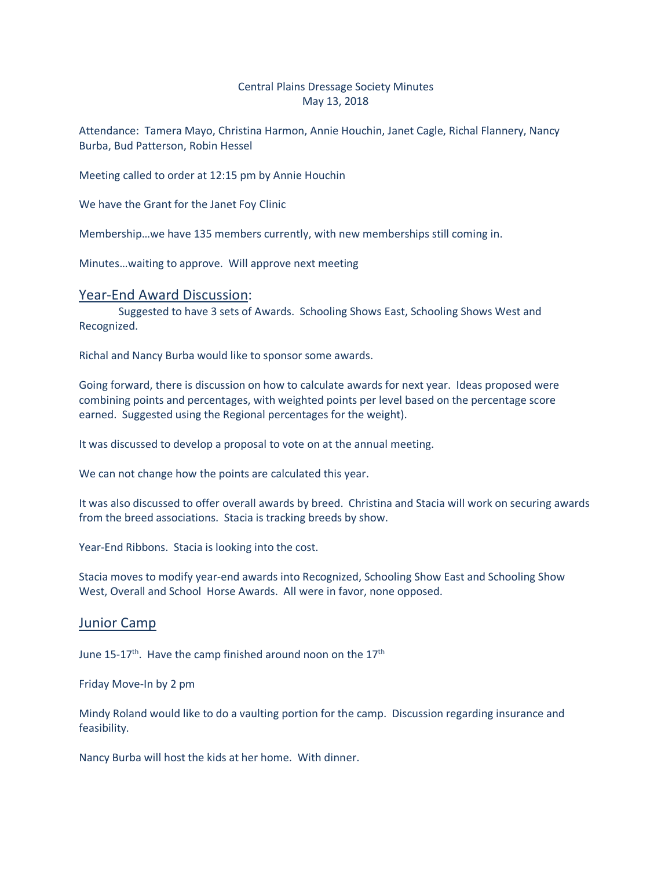## Central Plains Dressage Society Minutes May 13, 2018

Attendance: Tamera Mayo, Christina Harmon, Annie Houchin, Janet Cagle, Richal Flannery, Nancy Burba, Bud Patterson, Robin Hessel

Meeting called to order at 12:15 pm by Annie Houchin

We have the Grant for the Janet Foy Clinic

Membership…we have 135 members currently, with new memberships still coming in.

Minutes…waiting to approve. Will approve next meeting

## Year-End Award Discussion:

Suggested to have 3 sets of Awards. Schooling Shows East, Schooling Shows West and Recognized.

Richal and Nancy Burba would like to sponsor some awards.

Going forward, there is discussion on how to calculate awards for next year. Ideas proposed were combining points and percentages, with weighted points per level based on the percentage score earned. Suggested using the Regional percentages for the weight).

It was discussed to develop a proposal to vote on at the annual meeting.

We can not change how the points are calculated this year.

It was also discussed to offer overall awards by breed. Christina and Stacia will work on securing awards from the breed associations. Stacia is tracking breeds by show.

Year-End Ribbons. Stacia is looking into the cost.

Stacia moves to modify year-end awards into Recognized, Schooling Show East and Schooling Show West, Overall and School Horse Awards. All were in favor, none opposed.

## Junior Camp

June 15-17<sup>th</sup>. Have the camp finished around noon on the 17<sup>th</sup>

Friday Move-In by 2 pm

Mindy Roland would like to do a vaulting portion for the camp. Discussion regarding insurance and feasibility.

Nancy Burba will host the kids at her home. With dinner.